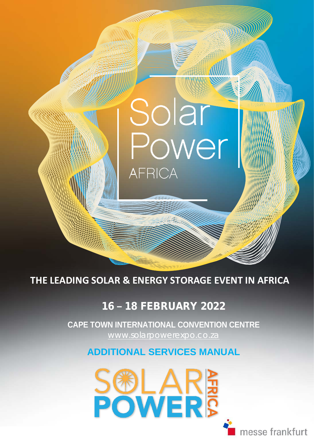**THE LEADING SOLAR & ENERGY STORAGE EVENT IN AFRICA**

**AFRICA** 

Solar

### 16 **–** 18 FEBRUARY 2022

 [www.solarpowerexpo.co.za](http://www.solarpowerexpo.co.za/) **CAPE TOWN INTERNATIONAL CONVENTION CENTRE**

**ADDITIONAL SERVICES MANUAL**



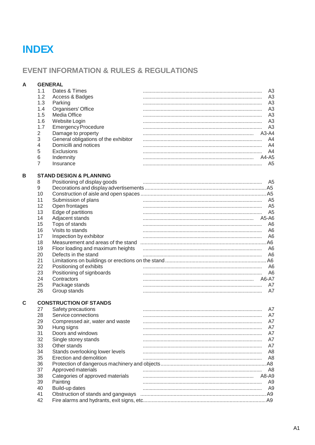## **INDEX**

### **EVENT INFORMATION & RULES & REGULATIONS**

| A | <b>GENERAL</b> |                                                           |                                  |
|---|----------------|-----------------------------------------------------------|----------------------------------|
|   | 1.1            | Dates & Times                                             | A3                               |
|   | 1.2            | Access & Badges                                           | A <sub>3</sub>                   |
|   | 1.3            | Parking                                                   | A <sub>3</sub>                   |
|   | 1.4            | Organisers' Office                                        | A <sub>3</sub>                   |
|   | 1.5            | Media Office                                              | A <sub>3</sub>                   |
|   | 1.6            | Website Login                                             | A <sub>3</sub>                   |
|   | 1.7            | <b>Emergency Procedure</b>                                | A <sub>3</sub>                   |
|   | 2              | Damage to property                                        | $A3-A4$                          |
|   | 3              | General obligations of the exhibitor                      | A4                               |
|   | 4              | Domicilli and notices                                     | A4                               |
|   | 5              | Exclusions                                                | A4                               |
|   | 6              | Indemnity                                                 | A4-A5                            |
|   | 7              | Insurance                                                 | A <sub>5</sub>                   |
|   |                |                                                           |                                  |
| В |                | <b>STAND DESIGN &amp; PLANNING</b>                        |                                  |
|   | 8              | Positioning of display goods                              | A <sub>5</sub><br>A5             |
|   | 9              |                                                           | A5                               |
|   | 10             |                                                           |                                  |
|   | 11             | Submission of plans                                       | A <sub>5</sub>                   |
|   | 12             | Open frontages                                            | A <sub>5</sub>                   |
|   | 13             | Edge of partitions                                        | A <sub>5</sub>                   |
|   | 14             | Adjacent stands                                           | A5-A6                            |
|   | 15             | Tops of stands                                            | A6                               |
|   | 16             | Visits to stands                                          | A <sub>6</sub>                   |
|   | 17             | Inspection by exhibitor                                   | A <sub>6</sub>                   |
|   | 18             | Measurement and areas of the stand                        | A <sub>6</sub><br>A <sub>6</sub> |
|   | 19<br>20       | Floor loading and maximum heights<br>Defects in the stand | A <sub>6</sub>                   |
|   | 21             |                                                           | A6                               |
|   | 22             | Positioning of exhibits                                   | A <sub>6</sub>                   |
|   | 23             | Positioning of signboards                                 | A <sub>6</sub>                   |
|   | 24             | Contractors                                               | A6-A7                            |
|   | 25             | Package stands                                            | A7                               |
|   | 26             | Group stands                                              | A7                               |
|   |                |                                                           |                                  |
| C |                | <b>CONSTRUCTION OF STANDS</b>                             |                                  |
|   | 27             | Safety precautions                                        | A7                               |
|   | 28             | Service connections                                       | A7                               |
|   | 29             | Compressed air, water and waste                           | A7                               |
|   | 30             | Hung signs                                                | A7                               |
|   | 31             | Doors and windows                                         | A7                               |
|   | 32             | Single storey stands                                      | A7                               |
|   | 33             | Other stands                                              | A7                               |
|   | 34             | Stands overlooking lower levels                           | A8                               |
|   | 35             | Erection and demolition                                   | A8                               |
|   | 36             |                                                           |                                  |
|   | 37             | Approved materials                                        | A8                               |
|   | 38             | Categories of approved materials                          | A8-A9                            |
|   | 39             | Painting                                                  | A <sub>9</sub>                   |
|   | 40             | Build-up dates                                            | A9                               |
|   | 41             | Obstruction of stands and gangways                        |                                  |
|   | 42             |                                                           |                                  |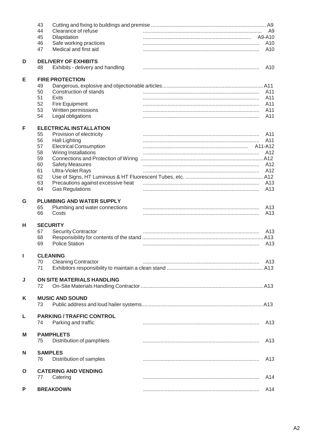|              | 43                                                                    |                 |
|--------------|-----------------------------------------------------------------------|-----------------|
|              | 44<br>Clearance of refuse                                             | A <sub>9</sub>  |
|              | 45<br>Dilapidation                                                    | A9-A10          |
|              | Safe working practices<br>46<br>Medical and first aid<br>47           | A10<br>A10      |
|              |                                                                       |                 |
| D            | <b>DELIVERY OF EXHIBITS</b><br>Exhibits - delivery and handling<br>48 | A10             |
|              |                                                                       |                 |
| Е            | <b>FIRE PROTECTION</b>                                                |                 |
|              | 49                                                                    |                 |
|              | 50<br>Construction of stands                                          | A11             |
|              | 51<br><b>Exits</b><br>52                                              | A11<br>A11      |
|              | Fire Equipment<br>53<br>Written permissions                           | A11             |
|              | 54<br>Legal obligations                                               | A11             |
|              |                                                                       |                 |
| F            | <b>ELECTRICAL INSTALLATION</b>                                        | A11             |
|              | 55<br>Provision of electricity<br>56                                  | A11             |
|              | <b>Hall Lighting</b><br>57<br><b>Electrical Consumption</b>           | A11-A12         |
|              | 58<br>Wiring Installations                                            | A12             |
|              | 59                                                                    |                 |
|              | 60<br><b>Safety Measures</b>                                          | A12             |
|              | 61<br><b>Ultra-Violet Rays</b>                                        | A12             |
|              | 62                                                                    |                 |
|              | Precautions against excessive heat<br>63                              | A <sub>13</sub> |
|              | <b>Gas Regulations</b><br>64                                          | A <sub>13</sub> |
|              |                                                                       |                 |
| G            | PLUMBING AND WATER SUPPLY                                             |                 |
|              | Plumbing and water connections<br>65                                  | A13             |
|              | 66<br>Costs                                                           | A <sub>13</sub> |
| н            | <b>SECURITY</b>                                                       |                 |
|              | 67<br><b>Security Contractor</b>                                      | A <sub>13</sub> |
|              | 68                                                                    |                 |
|              | <b>Police Station</b><br>69                                           | A <sub>13</sub> |
| L            | <b>CLEANING</b>                                                       |                 |
|              | 70<br><b>Cleaning Contractor</b>                                      | A13             |
|              | 71                                                                    |                 |
|              |                                                                       |                 |
| J            | ON SITE MATERIALS HANDLING<br>72                                      |                 |
|              |                                                                       |                 |
| K            | <b>MUSIC AND SOUND</b>                                                |                 |
|              | 73                                                                    |                 |
| L            | <b>PARKING / TRAFFIC CONTROL</b>                                      |                 |
|              | Parking and traffic<br>74                                             | A <sub>13</sub> |
| M            | <b>PAMPHLETS</b>                                                      |                 |
|              | Distribution of pamphlets<br>75                                       | A <sub>13</sub> |
|              |                                                                       |                 |
| N            | <b>SAMPLES</b><br>76                                                  | A <sub>13</sub> |
|              | Distribution of samples                                               |                 |
| $\mathbf{o}$ | <b>CATERING AND VENDING</b>                                           |                 |
|              | 77<br>Catering                                                        | A14             |
| P            | <b>BREAKDOWN</b>                                                      | A14             |
|              |                                                                       |                 |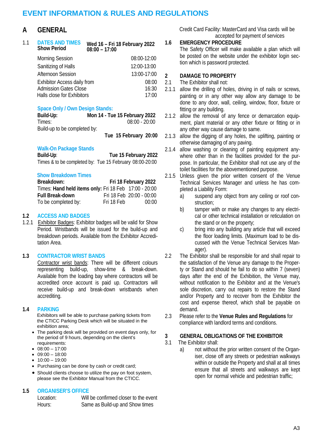### **EVENT INFORMATION & RULES AND REGULATIONS**

### **A GENERAL**

| 11 | <b>DATES AND TIMES</b><br><b>Show Period</b> | Wed 16 - Fri 18 February 2022<br>$08:00 - 17:00$ |
|----|----------------------------------------------|--------------------------------------------------|
|    | <b>Morning Session</b>                       | 08:00-12:00                                      |
|    | Sanitizing of Halls                          | 12:00-13:00                                      |
|    | <b>Afternoon Session</b>                     | 13:00-17:00                                      |
|    | Exhibitor Access daily from                  | 08:00                                            |
|    | <b>Admission Gates Close</b>                 | 16:30                                            |
|    | Halls close for Exhibitors                   | 17:00                                            |

### **Space Only / Own Design Stands:**

| Build-Up:                    | Mon 14 - Tue 15 February 2022 |
|------------------------------|-------------------------------|
| Times:                       | $08:00 - 20:00$               |
| Build-up to be completed by: |                               |
|                              | Tue 15 February 20:00         |

## **Walk-On Package Stands**

**Build-Up**: **Tue 15 February 2022** Times & to be completed by: Tue 15 February 08:00-20:00

#### **Show Breakdown Times**

| Breakdown:                                            |            | Fri 18 February 2022     |
|-------------------------------------------------------|------------|--------------------------|
| Times: Hand held items only: Fri 18 Feb 17:00 - 20:00 |            |                          |
| <b>Full Break-down</b>                                |            | Fri 18 Feb 20:00 - 00:00 |
| To be completed by:                                   | Fri 18 Feb | 00:00                    |

#### **1.2 ACCESS AND BADGES**

1.2.1 Exhibitor Badges: Exhibitor badges will be valid for Show Period. Wristbands will be issued for the build-up and breakdown periods. Available from the Exhibitor Accreditation Area.

#### **1.3 CONTRACTOR WRIST BANDS**

Contractor wrist bands: There will be different colours representing build-up, show-time & break-down. Available from the loading bay where contractors will be accredited once account is paid up. Contractors will receive build-up and break-down wristbands when accrediting.

#### **1.4 PARKING**

Exhibitors will be able to purchase parking tickets from the CTICC Parking Desk which will be situated in the exhibition area;

- The parking desk will be provided on event days only, for the period of 9 hours, depending on the client's requirements:
- $08:00 17:00$
- $09:00 18:00$
- $10:00 19:00$
- Purchasing can be done by cash or credit card;
- Should clients choose to utilize the pay on foot system, please see the Exhibitor Manual from the CTICC.

### **1.5 ORGANISER'S OFFICE**

| Location: | Will be confirmed closer to the event |
|-----------|---------------------------------------|
| Hours:    | Same as Build-up and Show times       |

Credit Card Facility: MasterCard and Visa cards will be accepted for payment of services

#### **1.6 EMERGENCY PROCEDURE**

The Safety Officer will make available a plan which will be posted on the website under the exhibitor login section which is password protected.

### **2 DAMAGE TO PROPERTY**

- The Exhibitor shall not:
- 2.1.1 allow the drilling of holes, driving in of nails or screws, painting or in any other way allow any damage to be done to any door, wall, ceiling, window, floor, fixture or fitting or any building.
- 2.1.2 allow the removal of any fence or demarcation equipment, plant material or any other fixture or fitting or in any other way cause damage to same.
- 2.1.3 allow the digging of any holes, the uplifting, painting or otherwise damaging of any paving.
- 2.1.4 allow washing or cleaning of painting equipment anywhere other than in the facilities provided for the purpose. In particular, the Exhibitor shall not use any of the toilet facilities for the abovementioned purpose.
- 2.1.5 Unless given the prior written consent of the Venue Technical Services Manager and unless he has completed a Liability Form:
	- a) suspend any object from any ceiling or roof construction;
	- b) tamper with or make any changes to any electrical or other technical installation or reticulation on the stand or on the property;
	- c) bring into any building any article that will exceed the floor loading limits. (Maximum load to be discussed with the Venue Technical Services Manager).
- 2.2 The Exhibitor shall be responsible for and shall repair to the satisfaction of the Venue any damage to the Property or Stand and should he fail to do so within 7 (seven) days after the end of the Exhibition, the Venue may, without notification to the Exhibitor and at the Venue's sole discretion, carry out repairs to restore the Stand and/or Property and to recover from the Exhibitor the cost and expense thereof, which shall be payable on demand.
- 2.3 Please refer to the **Venue Rules and Regulations** for compliance with landlord terms and conditions.

### **3 GENERAL OBLIGATIONS OF THE EXHIBITOR**

- 3.1 The Exhibitor shall:
	- a) not without the prior written consent of the Organiser, close off any streets or pedestrian walkways within or outside the Property and shall at all times ensure that all streets and walkways are kept open for normal vehicle and pedestrian traffic;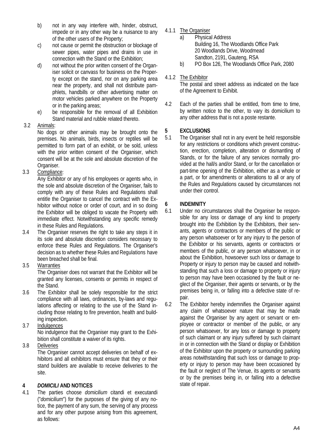- b) not in any way interfere with, hinder, obstruct, impede or in any other way be a nuisance to any of the other users of the Property;
- c) not cause or permit the obstruction or blockage of sewer pipes, water pipes and drains in use in connection with the Stand or the Exhibition;
- d) not without the prior written consent of the Organiser solicit or canvass for business on the Property except on the stand, nor on any parking area near the property, and shall not distribute pamphlets, handbills or other advertising matter on motor vehicles parked anywhere on the Property or in the parking areas;
- e) be responsible for the removal of all Exhibition Stand material and rubble related thereto.

### 3.2 Animals:

No dogs or other animals may be brought onto the premises. No animals, birds, insects or reptiles will be permitted to form part of an exhibit, or be sold, unless with the prior written consent of the Organiser, which consent will be at the sole and absolute discretion of the Organiser.

3.3 Compliance:

Any Exhibitor or any of his employees or agents who, in the sole and absolute discretion of the Organiser, fails to comply with any of these Rules and Regulations shall entitle the Organiser to cancel the contract with the Exhibitor without notice or order of court, and in so doing the Exhibitor will be obliged to vacate the Property with immediate effect. Notwithstanding any specific remedy in these Rules and Regulations.

3.4 The Organiser reserves the right to take any steps it in its sole and absolute discretion considers necessary to enforce these Rules and Regulations. The Organiser's decision as to whether these Rules and Regulations have been breached shall be final.

### 3.5 Warranties

The Organiser does not warrant that the Exhibitor will be granted any licenses, consents or permits in respect of the Stand.

3.6 The Exhibitor shall be solely responsible for the strict compliance with all laws, ordinances, by-laws and regulations affecting or relating to the use of the Stand including those relating to fire prevention, health and building inspection.

### 3.7 Indulgences

No indulgence that the Organiser may grant to the Exhibition shall constitute a waiver of its rights.

### 3.8 Deliveries

The Organiser cannot accept deliveries on behalf of exhibitors and all exhibitors must ensure that they or their stand builders are available to receive deliveries to the site.

### **4** *DOMICILI* **AND NOTICES**

4.1 The parties choose *domicilium* citandi et executandi ("*domicilium*") for the purposes of the giving of any notice, the payment of any sum, the serving of any process and for any other purpose arising from this agreement, as follows:

- 4.1.1 The Organiser<br>a) Physica
	- Physical Address Building 16, The Woodlands Office Park 20 Woodlands Drive, Woodmead Sandton, 2191, Gauteng, RSA
	- b) PO Box 126, The Woodlands Office Park, 2080

### 4.1.2 The Exhibitor

The postal and street address as indicated on the face of the Agreement to Exhibit.

4.2 Each of the parties shall be entitled, from time to time, by written notice to the other, to vary its domicilium to any other address that is not a poste restante.

### **5 EXCLUSIONS**

5.1 The Organiser shall not in any event be held responsible for any restrictions or conditions which prevent construction, erection, completion, alteration or dismantling of Stands, or for the failure of any services normally provided at the hall/s and/or Stand, or for the cancellation or part-time opening of the Exhibition, either as a whole or a part, or for amendments or alterations to all or any of the Rules and Regulations caused by circumstances not under their control.

### **6 INDEMNITY**

6.1 Under no circumstances shall the Organiser be responsible for any loss or damage of any kind to property brought into the Exhibition by the Exhibitors, their servants, agents or contractors or members of the public or any person whatsoever or for any injury to the person of the Exhibitor or his servants, agents or contractors or members of the public, or any person whatsoever, in or about the Exhibition, howsoever such loss or damage to Property or injury to person may be caused and notwithstanding that such a loss or damage to property or injury to person may have been occasioned by the fault or neglect of the Organiser, their agents or servants, or by the premises being in, or falling into a defective state of repair.

6.2 The Exhibitor hereby indemnifies the Organiser against any claim of whatsoever nature that may be made against the Organiser by any agent or servant or employee or contractor or member of the public, or any person whatsoever, for any loss or damage to property of such claimant or any injury suffered by such claimant in or in connection with the Stand or display or Exhibition of the Exhibitor upon the property or surrounding parking areas notwithstanding that such loss or damage to property or injury to person may have been occasioned by the fault or neglect of The Venue, its agents or servants or by the premises being in, or falling into a defective state of repair.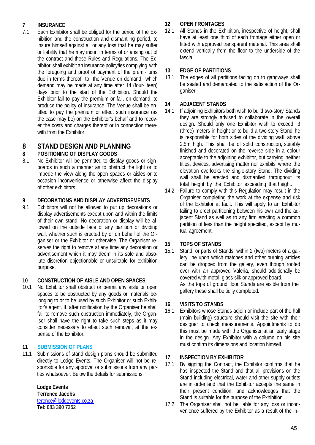## **7 INSURANCE**<br>**7.1** Each Exhibite

Each Exhibitor shall be obliged for the period of the Exhibition and the construction and dismantling period, to insure himself against all or any loss that he may suffer or liability that he may incur, in terms of or arising out of the contract and these Rules and Regulations. The Exhibitor shall exhibit an insurance policy/ies complying with the foregoing and proof of payment of the premi- ums due in terms thereof to the Venue on demand, which demand may be made at any time after 14 (four- teen) days prior to the start of the Exhibition. Should the Exhibitor fail to pay the premium or fail, on demand, to produce the policy of insurance, The Venue shall be entitled to pay the premium or effect such insurance (as the case may be) on the Exhibitor's behalf and to recover the costs and charges thereof or in connection therewith from the Exhibitor.

## **8 STAND DESIGN AND PLANNING**

### **8 POSITIONING OF DISPLAY GOODS**

No Exhibitor will be permitted to display goods or signboards in such a manner as to obstruct the light or to impede the view along the open spaces or aisles or to occasion inconvenience or otherwise affect the display of other exhibitors.

### **9 DECORATIONS AND DISPLAY ADVERTISEMENTS**

9.1 Exhibitors will not be allowed to put up decorations or display advertisements except upon and within the limits of their own stand. No decoration or display will be allowed on the outside face of any partition or dividing wall, whether such is erected by or on behalf of the Organiser or the Exhibitor or otherwise. The Organiser reserves the right to remove at any time any decoration or advertisement which it may deem in its sole and absolute discretion objectionable or unsuitable for exhibition purpose.

### **10 CONSTRUCTION OF AISLE AND OPEN SPACES**

10.1 No Exhibitor shall obstruct or permit any aisle or open spaces to be obstructed by any goods or materials belonging to or to be used by such Exhibitor or such Exhibitor's agent. If, after notification by the Organiser he shall fail to remove such obstruction immediately, the Organiser shall have the right to take such steps as it may consider necessary to effect such removal, at the expense of the Exhibitor.

### **11 SUBMISSION OF PLANS**

11.1 Submissions of stand design plans should be submitted directly to Lodge Events. The Organiser will not be responsible for any approval or submissions from any parties whatsoever. Below the details for submissions.

**Lodge Events**

#### **Terrence Jacobs** [terence@lodgevents.co.za](mailto:terence@lodgevents.co.za) **Tel: 083 390 7252**

### **12 OPEN FRONTAGES**

12.1 All Stands in the Exhibition, irrespective of height, shall have at least one third of each frontage either open or fitted with approved transparent material. This area shall extend vertically from the floor to the underside of the fascia.

### **13 EDGE OF PARTITIONS**

13.1 The edges of all partitions facing on to gangways shall be sealed and demarcated to the satisfaction of the Organiser.

### **14 ADJACENT STANDS**

- 14.1 If adjoining Exhibitors both wish to build two-story Stands they are strongly advised to collaborate in the overall design. Should only one Exhibitor wish to exceed 3 (three) meters in height or to build a two-story Stand he is responsible for both sides of the dividing wall above 2.5m high. This shall be of solid construction, suitably finished and decorated on the reverse side in a colour acceptable to the adjoining exhibitor, but carrying neither titles, devices, advertising matter nor exhibits where the elevation overlooks the single-story Stand. The dividing wall shall be erected and dismantled throughout its total height by the Exhibitor exceeding that height.
- 14.2 Failure to comply with this Regulation may result in the Organiser completing the work at the expense and risk of the Exhibitor at fault. This will apply to an Exhibitor failing to erect partitioning between his own and the adjacent Stand as well as to any firm erecting a common partition of less than the height specified, except by mutual agreement.

### **15 TOPS OF STANDS**

15.1 Stand, or parts of Stands, within 2 (two) meters of a gallery line upon which matches and other burning articles can be dropped from the gallery, even though roofed over with an approved Valeria, should additionally be covered with metal, glass-silk or approved board. As the tops of ground floor Stands are visible from the gallery these shall be tidily completed.

### **16 VISITS TO STANDS**

16.1 Exhibitors whose Stands adjoin or include part of the hall (main building) structure should visit the site with their designer to check measurements. Appointments to do this must be made with the Organiser at an early stage in the design. Any Exhibitor with a column on his site must confirm its dimensions and location himself.

### **17 INSPECTION BY EXHIBITOR**

- 17.1 By signing the Contract, the Exhibitor confirms that he has inspected the Stand and that all provisions on the Stand including electrical, water and other supply outlets are in order and that the Exhibitor accepts the same in their present condition, and acknowledges that the Stand is suitable for the purpose of the Exhibition.
- 17.2 The Organiser shall not be liable for any loss or inconvenience suffered by the Exhibitor as a result of the in-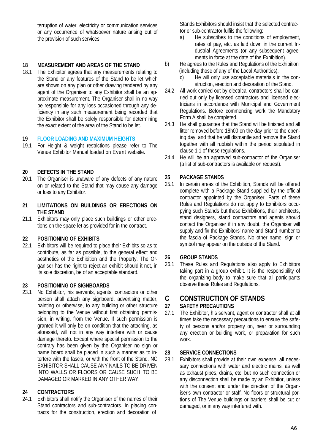terruption of water, electricity or communication services or any occurrence of whatsoever nature arising out of the provision of such services.

### **18 MEASUREMENT AND AREAS OF THE STAND**

The Exhibitor agrees that any measurements relating to the Stand or any features of the Stand to be let which are shown on any plan or other drawing tendered by any agent of the Organiser to any Exhibitor shall be an approximate measurement. The Organiser shall in no way be responsible for any loss occasioned through any deficiency in any such measurement being recorded that the Exhibitor shall be solely responsible for determining the exact extent of the area of the Stand to be let.

## **19 FLOOR LOADING AND MAXIMUM HEIGHTS**

For Height & weight restrictions please refer to The Venue Exhibitor Manual loaded on Event website.

### **20 DEFECTS IN THE STAND**

- The Organiser is unaware of any defects of any nature on or related to the Stand that may cause any damage or loss to any Exhibitor.
- **21 LIMITATIONS ON BUILDINGS OR ERECTIONS ON THE STAND**
- 21.1 Exhibitors may only place such buildings or other erections on the space let as provided for in the contract.

## **22 POSITIONING OF EXHIBITS**

Exhibitors will be required to place their Exhibits so as to contribute, as far as possible, to the general effect and aesthetics of the Exhibition and the Property. The Organiser has the right to reject an exhibit should it not, in its sole discretion, be of an acceptable standard.

### **23 POSITIONING OF SIGNBOARDS**

23.1 No Exhibitor, his servants, agents, contractors or other person shall attach any signboard, advertising matter, painting or otherwise, to any building or other structure belonging to the Venue without first obtaining permission, in writing, from the Venue. If such permission is granted it will only be on condition that the attaching, as aforesaid, will not in any way interfere with or cause damage thereto. Except where special permission to the contrary has been given by the Organiser no sign or name board shall be placed in such a manner as to interfere with the fascia, or with the front of the Stand. NO EXHIBITOR SHALL CAUSE ANY NAILS TO BE DRIVEN INTO WALLS OR FLOORS OR CAUSE SUCH TO BE DAMAGED OR MARKED IN ANY OTHER WAY.

### **24 CONTRACTORS**

24.1 Exhibitors shall notify the Organiser of the names of their Stand contractors and sub-contractors. In placing contracts for the construction, erection and decoration of

Stands Exhibitors should insist that the selected contractor or sub-contractor fulfils the following:<br>a) He subscribes to the conditions

- He subscribes to the conditions of employment, rates of pay, etc. as laid down in the current Industrial Agreements (or any subsequent agreements in force at the date of the Exhibition).
- b) He agrees to the Rules and Regulations of the Exhibition (including those of any of the Local Authorities).
	- c) He will only use acceptable materials in the construction, erection and decoration of the Stand.
- 24.2 All work carried out by electrical contractors shall be carried out only by licensed contractors and licensed electricians in accordance with Municipal and Government Regulations. Before commencing work the Mandatory Form A shall be completed.
- 24.3 He shall guarantee that the Stand will be finished and all litter removed before 18h00 on the day prior to the opening day, and that he will dismantle and remove the Stand together with all rubbish within the period stipulated in clause 1.1 of these regulations.
- 24.4 He will be an approved sub-contractor of the Organiser (a list of sub-contractors is available on request).

### **25 PACKAGE STANDS**

25.1 In certain areas of the Exhibition, Stands will be offered complete with a Package Stand supplied by the official contractor appointed by the Organiser. Parts of these Rules and Regulations do not apply to Exhibitors occupying such Stands but these Exhibitions, their architects, stand designers, stand contractors and agents should contact the Organiser if in any doubt. the Organiser will supply and fix the Exhibitors' name and Stand number to the fascia of Package Stands. No other name, sign or symbol may appear on the outside of the Stand.

### **26 GROUP STANDS**

26.1 These Rules and Regulations also apply to Exhibitors taking part in a group exhibit. It is the responsibility of the organizing body to make sure that all participants observe these Rules and Regulations.

## **C CONSTRUCTION OF STANDS**

### **27 SAFETY PRECAUTIONS**

27.1 The Exhibitor, his servant, agent or contractor shall at all times take the necessary precautions to ensure the safety of persons and/or property on, near or surrounding any erection or building work, or preparation for such work.

### **28 SERVICE CONNECTIONS**

28.1 Exhibitors shall provide at their own expense, all necessary connections with water and electric mains, as well as exhaust pipes, drains, etc. but no such connection or any disconnection shall be made by an Exhibitor, unless with the consent and under the direction of the Organiser's own contractor or staff. No floors or structural portions of The Venue buildings or barriers shall be cut or damaged, or in any way interfered with.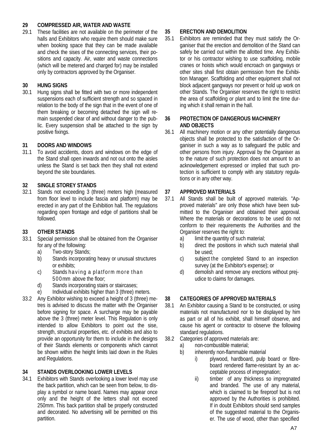### **29 COMPRESSED AIR, WATER AND WASTE**

These facilities are not available on the perimeter of the halls and Exhibitors who require them should make sure when booking space that they can be made available and check the sises of the connecting services, their positions and capacity. Air, water and waste connections (which will be metered and charged for) may be installed only by contractors approved by the Organiser.

### **30 HUNG SIGNS**

Hung signs shall be fitted with two or more independent suspensions each of sufficient strength and so spaced in relation to the body of the sign that in the event of one of them breaking or becoming detached the sign will remain suspended clear of and without danger to the public. Every suspension shall be attached to the sign by positive fixings.

### **31 DOORS AND WINDOWS**

31.1 To avoid accidents, doors and windows on the edge of the Stand shall open inwards and not out onto the aisles unless the Stand is set back then they shall not extend beyond the site boundaries.

### **32 SINGLE STOREY STANDS**

32.1 Stands not exceeding 3 (three) meters high (measured from floor level to include fascia and platform) may be erected in any part of the Exhibition hall. The regulations regarding open frontage and edge of partitions shall be followed.

### **33 OTHER STANDS**

- Special permission shall be obtained from the Organiser for any of the following:
	- a) Two-story Stands;
	- b) Stands incorporating heavy or unusual structures or exhibits;
	- c) Stands having a platform more than 500mm above the floor;
	- d) Stands incorporating stairs or staircases;
	- e) Individual exhibits higher than 3 (three) meters.
- 33.2 Any Exhibitor wishing to exceed a height of 3 (three) metres is advised to discuss the matter with the Organiser before signing for space. A surcharge may be payable above the 3 (three) meter level. This Regulation is only intended to allow Exhibitors to point out the sise, strength, structural properties, etc. of exhibits and also to provide an opportunity for them to include in the designs of their Stands elements or components which cannot be shown within the height limits laid down in the Rules and Regulations.

### **34 STANDS OVERLOOKING LOWER LEVELS**

34.1 Exhibitors with Stands overlooking a lower level may use the back partition, which can be seen from below, to display a symbol or name board. Names may appear once only and the height of the letters shall not exceed 250mm. This back partition shall be properly constructed and decorated. No advertising will be permitted on this partition.

### **35 ERECTION AND DEMOLITION**

Exhibitors are reminded that they must satisfy the Organiser that the erection and demolition of the Stand can safely be carried out within the allotted time. Any Exhibitor or his contractor wishing to use scaffolding, mobile cranes or hoists which would encroach on gangways or other sites shall first obtain permission from the Exhibition Manager. Scaffolding and other equipment shall not block adjacent gangways nor prevent or hold up work on other Stands. The Organiser reserves the right to restrict the area of scaffolding or plant and to limit the time during which it shall remain in the hall.

#### **36 PROTECTION OF DANGEROUS MACHINERY AND OBJECTS**

36.1 All machinery motion or any other potentially dangerous objects shall be protected to the satisfaction of the Organiser in such a way as to safeguard the public and other persons from injury. Approval by the Organiser as to the nature of such protection does not amount to an acknowledgement expressed or implied that such protection is sufficient to comply with any statutory regulations or in any other way.

### **37 APPROVED MATERIALS**

- All Stands shall be built of approved materials. "Approved materials" are only those which have been submitted to the Organiser and obtained their approval. Where the materials or decorations to be used do not conform to their requirements the Authorities and the Organiser reserves the right to:
	- a) limit the quantity of such material;
	- b) direct the positions in which such material shall be used;
	- c) subject the completed Stand to an inspection survey (at the Exhibitor's expense); or
	- d) demolish and remove any erections without prejudice to claims for damages.

### **38 CATEGORIES OF APPROVED MATERIALS**

- 38.1 An Exhibitor causing a Stand to be constructed, or using materials not manufactured nor to be displayed by him as part or all of his exhibit, shall himself observe, and cause his agent or contractor to observe the following standard regulations.
- 38.2 Categories of approved materials are:
	- a) non-combustible material;
	- b) inherently non-flammable material
		- i) plywood, hardboard, pulp board or fibreboard rendered flame-resistant by an acceptable process of impregnation;
		- ii) timber of any thickness so impregnated and branded. The use of any material, which is claimed to be fireproof but is not approved by the Authorities is prohibited. If in doubt Exhibitors should send samples of the suggested material to the Organiser. The use of wood, other than specified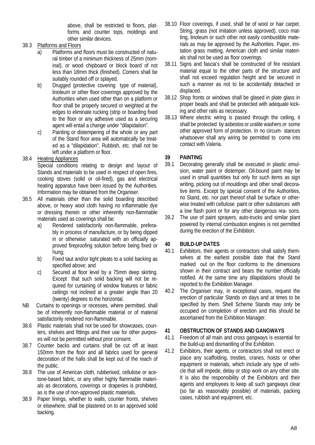above, shall be restricted to floors, platforms and counter tops, moldings and other similar devices.

### 38.3 Platforms and Floors

- a) Platforms and floors must be constructed of natural timber of a minimum thickness of 25mm (nominal), or wood chipboard or block board of not less than 18mm thick (finished). Comers shall be suitably rounded off or splayed.
- b) Drugged (protective covering type of material), linoleum or other floor coverings approved by the Authorities when used other than on a platform or floor shall be properly secured or weighted at the edges to eliminate rucking (strip or boarding fixed to the floor or any adhesive used as a securing agent will entail a change under "dilapidation".
- c) Painting or distempering of the whole or any part of the Stand floor area will automatically be treated as a "dilapidation". Rubbish, etc. shall not be left under a platform or floor.

### 38.4 Heating Appliances

Special conditions relating to design and layout of Stands and materials to be used in respect of open fires, cooking stoves (solid or oil-fired), gas and electrical heating apparatus have been issued by the Authorities. Information may be obtained from the Organiser.

- 38.5 All materials other than the solid boarding described above, or heavy wool cloth having no inflammable dye or dressing therein or other inherently non-flammable materials used as coverings shall be:
	- a) Rendered satisfactorily non-flammable, preferably in process of manufacture, or by being dipped in or otherwise saturated with an officially approved fireproofing solution before being fixed or hung;
	- b) Fixed taut and/or tight pleats to a solid backing as specified above; and
	- c) Secured at floor level by a 75mm deep skirting. Except that such solid backing will not be required for curtaining of window features or fabric ceilings not inclined at a greater angle than 20 (twenty) degrees to the horizontal.
- NB Curtains to openings or recesses, where permitted, shall be of inherently non-flammable material or of material satisfactorily rendered non-flammable.
- 38.6 Plastic materials shall not be used for showcases, counters, shelves and fittings and their use for other purposes will not be permitted without prior consent.
- 38.7 Counter backs and curtains shall be cut off at least 150mm from the floor and all fabrics used for general decoration of the halls shall be kept out of the reach of the public.
- 38.8 The use of American cloth, rubberised, cellulose or acetone-based fabric, or any other highly flammable materials as decorations, coverings or draperies is prohibited, as is the use of non-approved plastic materials.
- 38.9 Paper linings, whether to walls, counter fronts, shelves or elsewhere, shall be plastered on to an approved solid backing.
- 38.10 Floor coverings, if used, shall be of wool or hair carpet. String, grass (not imitation unless approved), coco matting, linoleum or such other not easily combustible materials as may be approved by the Authorities. Paper, imitation grass matting, American cloth and similar materials shall not be used as floor coverings.
- 38.11 Signs and fascia's shall be constructed of fire resistant material equal to the other parts of the structure and shall not exceed regulation height and be secured in such a manner as not to be accidentally detached or displaced.
- 38.12 Shop fronts or windows shall be glased in plate glass in proper beads and shall be protected with adequate kicking and other rails as necessary.
- 38.13 Where electric wiring is passed through the ceiling, it shall be protected by asbestos or uralite washers or some other approved form of protection. In no circum- stances whatsoever shall any wiring be permitted to come into contact with Valeria.

## **39 PAINTING**

- Decorating generally shall be executed in plastic emulsion, water paint or distemper. Oil-bound paint may be used in small quantities but only for such items as sign writing, picking out of mouldings and other small decorative items. Except by special consent of the Authorities, no Stand, etc. nor part thereof shall be surface or otherwise treated with cellulose paint or other substances with a low flash point or for any other dangerous rea- sons.
- 39.2 The use of paint sprayers, auto-trucks and similar plant powered by internal combustion engines is not permitted during the erection of the Exhibition.

### **40 BUILD-UP DATES**

- 40.1 Exhibitors, their agents or contractors shall satisfy themselves at the earliest possible date that the Stand marked out on the floor conforms to the dimensions shown in their contract and bears the number officially notified. At the same time any dilapidations should be reported to the Exhibition Manager.
- 40.2 The Organiser may, in exceptional cases, request the erection of particular Stands on days and at times to be specified by them. Shell Scheme Stands may only be occupied on completion of erection and this should be ascertained from the Exhibition Manager.

### **41 OBSTRUCTION OF STANDS AND GANGWAYS**

- 41.1 Freedom of all main and cross gangways is essential for the build-up and dismantling of the Exhibition.
- 41.2 Exhibitors, their agents, or contractors shall not erect or place any scaffolding, trestles, cranes, hoists or other equipment or materials, which include any type of vehicle that will impede, delay or stop work on any other site. It is also the responsibility of the Exhibitors and their agents and employees to keep all such gangways clear (so far as reasonably possible) of materials, packing cases, rubbish and equipment, etc.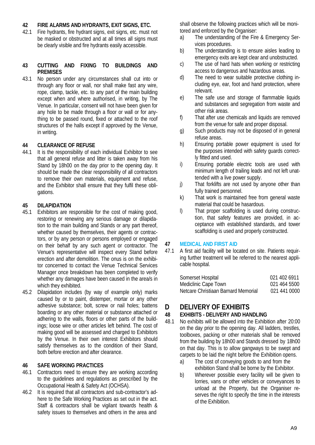## **42 FIRE ALARMS AND HYDRANTS, EXIT SIGNS, ETC.**

Fire hydrants, fire hydrant signs, exit signs, etc. must not be masked or obstructed and at all times all signs must be clearly visible and fire hydrants easily accessible.

#### **43 CUTTING AND FIXING TO BUILDINGS AND PREMISES**

43.1 No person under any circumstances shall cut into or through any floor or wall, nor shall make fast any wire, rope, clamp, tackle, etc. to any part of the main building except when and where authorised, in writing, by The Venue. In particular, consent will not have been given for any hole to be made through a floor or wall or for anything to be passed round, fixed or attached to the roof structures of the halls except if approved by the Venue, in writing.

### **44 CLEARANCE OF REFUSE**

44.1 It is the responsibility of each individual Exhibitor to see that all general refuse and litter is taken away from his Stand by 18h00 on the day prior to the opening day. It should be made the clear responsibility of all contractors to remove their own materials, equipment and refuse, and the Exhibitor shall ensure that they fulfil these obligations.

### **45 DILAPIDATION**

- Exhibitors are responsible for the cost of making good, restoring or renewing any serious damage or dilapidation to the main building and Stands or any part thereof, whether caused by themselves, their agents or contractors, or by any person or persons employed or engaged on their behalf by any such agent or contractor. The Venue's representative will inspect every Stand before erection and after demolition. The onus is on the exhibitor concerned to contact the Venue Technical Services Manager once breakdown has been completed to verify whether any damages have been caused in the area/s in which they exhibited.
- 45.2 Dilapidation includes (by way of example only) marks caused by or to paint, distemper, mortar or any other adhesive substance; bolt, screw or nail holes; battens boarding or any other material or substance attached or adhering to the walls, floors or other parts of the buildings; loose wire or other articles left behind. The cost of making good will be assessed and charged to Exhibitors by the Venue. In their own interest Exhibitors should satisfy themselves as to the condition of their Stand, both before erection and after clearance.

### **46 SAFE WORKING PRACTICES**

- 46.1 Contractors need to ensure they are working according to the guidelines and regulations as prescribed by the Occupational Health & Safety Act (OCHSA).
- 46.2 It is required that all contractors and sub-contractor's adhere to the Safe Working Practices as set out in the act. Staff & contractors shall be vigilant towards health & safety issues to themselves and others in the area and

shall observe the following practices which will be monitored and enforced by the Organiser:

- a) The understanding of the Fire & Emergency Services procedures.
- b) The understanding is to ensure aisles leading to emergency exits are kept clear and unobstructed.
- c) The use of hard hats when working or restricting access to dangerous and hazardous areas.
- d) The need to wear suitable protective clothing including eye, ear, foot and hand protection, where relevant.
- e) The safe use and storage of flammable liquids and substances and segregation from waste and other risk areas.
- f) That after use chemicals and liquids are removed from the venue for safe and proper disposal.
- g) Such products may not be disposed of in general refuse areas.
- h) Ensuring portable power equipment is used for the purposes intended with safety guards correctly fitted and used.
- i) Ensuring portable electric tools are used with minimum length of trailing leads and not left unattended with a live power supply.
- j) That forklifts are not used by anyone other than fully trained personnel.
- k) That work is maintained free from general waste material that could be hasardous.
- l) That proper scaffolding is used during construction, that safety features are provided, in acceptance with established standards, and tower scaffolding is used and properly constructed.

### **47 MEDICAL AND FIRST AID**

47.1 A first aid facility will be located on site. Patients requiring further treatment will be referred to the nearest applicable hospital.

| Somerset Hospital                   | 021 402 6911 |
|-------------------------------------|--------------|
| Mediclinic Cape Town                | 021 464 5500 |
| Netcare Christiaan Barnard Memorial | 021 441 0000 |

### **D DELIVERY OF EXHIBITS**

### **48 EXHIBITS - DELIVERY AND HANDLING**

- 48.1 No exhibits will be allowed into the Exhibition after 20:00 on the day prior to the opening day. All ladders, trestles, toolboxes, packing or other materials shall be removed from the building by 18h00 and Stands dressed by 18h00 on that day. This is to allow gangways to be swept and carpets to be laid the night before the Exhibition opens.
	- a) The cost of conveying goods to and from the exhibition Stand shall be borne by the Exhibitor.
	- b) Wherever possible every facility will be given to lorries, vans or other vehicles or conveyances to unload at the Property, but the Organiser reserves the right to specify the time in the interests of the Exhibition.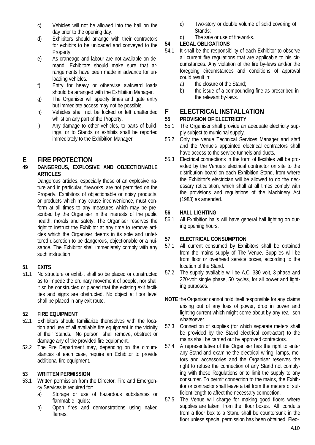- c) Vehicles will not be allowed into the hall on the day prior to the opening day.
- d) Exhibitors should arrange with their contractors for exhibits to be unloaded and conveyed to the Property.
- e) As craneage and labour are not available on demand, Exhibitors should make sure that arrangements have been made in advance for unloading vehicles.
- f) Entry for heavy or otherwise awkward loads should be arranged with the Exhibition Manager.
- g) The Organiser will specify times and gate entry but immediate access may not be possible.
- h) Vehicles shall not be locked or left unattended whilst on any part of the Property.
- i) Any damage to other vehicles, to parts of buildings, or to Stands or exhibits shall be reported immediately to the Exhibition Manager.

## **E FIRE PROTECTION**

### **49 DANGEROUS, EXPLOSIVE AND OBJECTIONABLE ARTICLES**

Dangerous articles, especially those of an explosive nature and in particular, fireworks, are not permitted on the Property. Exhibitors of objectionable or noisy products, or products which may cause inconvenience, must conform at all times to any measures which may be prescribed by the Organiser in the interests of the public health, morals and safety. The Organiser reserves the right to instruct the Exhibitor at any time to remove articles which the Organiser deems in its sole and unfettered discretion to be dangerous, objectionable or a nuisance. The Exhibitor shall immediately comply with any such instruction

### **51 EXITS**

51.1 No structure or exhibit shall so be placed or constructed as to impede the ordinary movement of people, nor shall it so be constructed or placed that the existing exit facilities and signs are obstructed. No object at floor level shall be placed in any exit route.

## **52 FIRE EQUIPMENT**

- Exhibitors should familiarize themselves with the location and use of all available fire equipment in the vicinity of their Stands. No person shall remove, obstruct or damage any of the provided fire equipment.
- 52.2 The Fire Department may, depending on the circumstances of each case, require an Exhibitor to provide additional fire equipment.

### **53 WRITTEN PERMISSION**

- 53.1 Written permission from the Director, Fire and Emergency Services is required for:
	- a) Storage or use of hazardous substances or flammable liquids;
	- b) Open fires and demonstrations using naked flames:
- c) Two-story or double volume of solid covering of Stands;
- d) The sale or use of fireworks.

### **54 LEGAL OBLIGATIONS**

- It shall be the responsibility of each Exhibitor to observe all current fire regulations that are applicable to his circumstances. Any violation of the fire by-laws and/or the foregoing circumstances and conditions of approval could result in:
	- a) the closure of the Stand;<br>b) the issue of a compound
	- the issue of a compounding fine as prescribed in the relevant by-laws.

## **F ELECTRICAL INSTALLATION**

## **55 PROVISION OF ELECTRICITY**

- The Organiser shall provide an adequate electricity supply subject to municipal supply.
- 55.2 Only the venue Technical Services Manager and staff and the Venue's appointed electrical contractors shall have access to the service tunnels and ducts.
- 55.3 Electrical connections in the form of flexibles will be provided by the Venue's electrical contractor on site to the distribution board on each Exhibition Stand, from where the Exhibitor's electrician will be allowed to do the necessary reticulation, which shall at all times comply with the provisions and regulations of the Machinery Act (1983) as amended.

### **56 HALL LIGHTING**

56.1 All Exhibition halls will have general hall lighting on during opening hours.

### **57 ELECTRICAL CONSUMPTION**

- All current consumed by Exhibitors shall be obtained from the mains supply of The Venue. Supplies will be from floor or overhead service boxes, according to the location of the Stand.
- 57.2 The supply available will be A.C. 380 volt, 3-phase and 220-volt single phase, 50 cycles, for all power and lighting purposes.
- **NOTE** the Organiser cannot hold itself responsible for any claims arising out of any loss of power, drop in power and lighting current which might come about by any rea- son whatsoever.
- 57.3 Connection of supplies (for which separate meters shall be provided by the Stand electrical contractor) to the mains shall be carried out by approved contractors.
- 57.4 A representative of the Organiser has the right to enter any Stand and examine the electrical wiring, lamps, motors and accessories and the Organiser reserves the right to refuse the connection of any Stand not complying with these Regulations or to limit the supply to any consumer. To permit connection to the mains, the Exhibitor or contractor shall leave a tail from the meters of sufficient length to affect the necessary connection.
- 57.5 The Venue will charge for making good floors where supplies are taken from the floor boxes. All conduits from a floor box to a Stand shall be countersunk in the floor unless special permission has been obtained. Elec-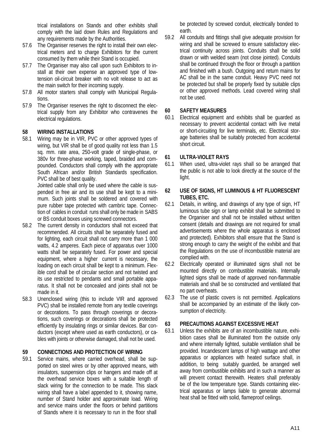trical installations on Stands and other exhibits shall comply with the laid down Rules and Regulations and any requirements made by the Authorities.

- 57.6 The Organiser reserves the right to install their own electrical meters and to charge Exhibitors for the current consumed by them while their Stand is occupied.
- 57.7 The Organiser may also call upon such Exhibitors to install at their own expense an approved type of lowtension oil-circuit breaker with no volt release to act as the main switch for their incoming supply.
- 57.8 All motor starters shall comply with Municipal Regulations.
- 57.9 The Organiser reserves the right to disconnect the electrical supply from any Exhibitor who contravenes the electrical regulations.

### **58 WIRING INSTALLATIONS**

Wiring may be in VIR, PVC or other approved types of wiring, but VIR shall be of good quality not less than 1.5 sq. mm. rate area, 250-volt grade of single-phase, or 380v for three-phase working, taped, braided and compounded. Conductors shall comply with the appropriate South African and/or British Standards specification. PVC shall be of best quality.

Jointed cable shall only be used where the cable is suspended in free air and its use shall be kept to a minimum. Such joints shall be soldered and covered with pure rubber tape protected with cambric tape. Connection of cables in conduit runs shall only be made in SABS or BS conduit boxes using screwed connectors.

- 58.2 The current density in conductors shall not exceed that recommended. All circuits shall be separately fused and for lighting, each circuit shall not carry more than 1 000 watts, 4.2 amperes. Each piece of apparatus over 1000 watts shall be separately fused. For power and special equipment, where a higher current is necessary, the loading on each circuit shall be kept to a minimum. Flexible cord shall be of circular section and not twisted and its use restricted to pendants and small portable apparatus. It shall not be concealed and joints shall not be made in it.
- 58.3 Unenclosed wiring (this to include VIR and approved PVC) shall be installed remote from any textile coverings or decorations. To pass through coverings or decorations, such coverings or decorations shall be protected efficiently by insulating rings or similar devices. Bar conductors (except where used as earth conductors), or cables with joints or otherwise damaged, shall not be used.

### **59 CONNECTIONS AND PROTECTION OF WIRING**

59.1 Service mains, where carried overhead, shall be supported on steel wires or by other approved means, with insulators, suspension clips or hangers and made off at the overhead service boxes with a suitable length of slack wiring for the connection to be made. This slack wiring shall have a label appended to it, showing name, number of Stand holder and approximate load. Wiring and service mains under the floors or behind partitions of Stands where it is necessary to run in the floor shall

be protected by screwed conduit, electrically bonded to earth.

59.2 All conduits and fittings shall give adequate provision for wiring and shall be screwed to ensure satisfactory electrical continuity across joints. Conduits shall be solid drawn or with welded seam (not close jointed). Conduits shall be continued through the floor or through a partition and finished with a bush. Outgoing and return mains for AC shall be in the same conduit. Heavy PVC need not be protected but shall be properly fixed by suitable clips or other approved methods. Lead covered wiring shall not be used.

### **60 SAFETY MEASURES**

60.1 Electrical equipment and exhibits shall be guarded as necessary to prevent accidental contact with live metal or short-circuiting for live terminals, etc. Electrical storage batteries shall be suitably protected from accidental short circuit.

### **61 ULTRA-VIOLET RAYS**

61.1 When used, ultra-violet rays shall so be arranged that the public is not able to look directly at the source of the light.

### **62 USE OF SIGNS, HT LUMINOUS & HT FLUORESCENT TUBES, ETC.**

- 62.1 Details, in writing, and drawings of any type of sign, HT luminous tube sign or lamp exhibit shall be submitted to the Organiser and shall not be installed without written consent (details and drawings are not required for small advertisements where the whole apparatus is enclosed and protected). Exhibitors shall ensure that the Stand is strong enough to carry the weight of the exhibit and that the Regulations on the use of incombustible material are complied with.
- 62.2 Electrically operated or illuminated signs shall not be mounted directly on combustible materials. Internally lighted signs shall be made of approved non-flammable materials and shall be so constructed and ventilated that no part overheats.
- 62.3 The use of plastic covers is not permitted. Applications shall be accompanied by an estimate of the likely consumption of electricity.

### **63 PRECAUTIONS AGAINST EXCESSIVE HEAT**

63.1 Unless the exhibits are of an incombustible nature, exhibition cases shall be illuminated from the outside only and where internally lighted, suitable ventilation shall be provided. Incandescent lamps of high wattage and other apparatus or appliances with heated surface shall, in addition, to being suitably guarded, be arranged well away from combustible exhibits and in such a manner as will prevent contact therewith. Heaters shall preferably be of the low temperature type. Stands containing electrical apparatus or lamps liable to generate abnormal heat shall be fitted with solid, flameproof ceilings.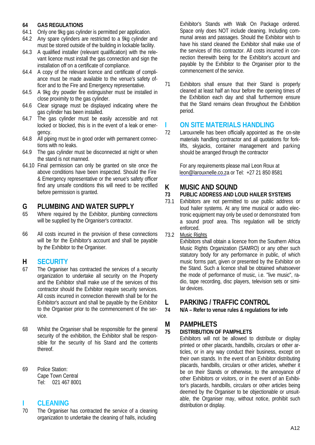## **64 GAS REGULATIONS**

- 64.1 Only one 9kg gas cylinder is permitted per application.<br>64.2 Any spare cylinders are restricted to a 9kg cylinder a
- Any spare cylinders are restricted to a 9kg cylinder and must be stored outside of the building in lockable facility.
- 64.3 A qualified installer (relevant qualification) with the relevant licence must install the gas connection and sign the installation off on a certificate of compliance.
- 64.4 A copy of the relevant licence and certificate of compliance must be made available to the venue's safety officer and to the Fire and Emergency representative.
- 64.5 A 9kg dry powder fire extinguisher must be installed in close proximity to the gas cylinder.
- 64.6 Clear signage must be displayed indicating where the gas cylinder has been installed.
- 64.7 The gas cylinder must be easily accessible and not locked or blocked, this is in the event of a leak or emergency.
- 64.8 All piping must be in good order with permanent connections with no leaks.
- 64.9 The gas cylinder must be disconnected at night or when the stand is not manned.
- 64.10 Final permission can only be granted on site once the above conditions have been inspected. Should the Fire & Emergency representative or the venue's safety officer find any unsafe conditions this will need to be rectified before permission is granted.

## **G PLUMBING AND WATER SUPPLY**

- Where required by the Exhibitor, plumbing connections will be supplied by the Organiser's contractor.
- 66 All costs incurred in the provision of these connections will be for the Exhibitor's account and shall be payable by the Exhibitor to the Organiser.

### **H SECURITY**

- 67 The Organiser has contracted the services of a security organization to undertake all security on the Property and the Exhibitor shall make use of the services of this contractor should the Exhibitor require security services. All costs incurred in connection therewith shall be for the Exhibitor's account and shall be payable by the Exhibitor to the Organiser prior to the commencement of the service.
- 68 Whilst the Organiser shall be responsible for the general security of the exhibition, the Exhibitor shall be responsible for the security of his Stand and the contents thereof.
- 69 Police Station: Cape Town Central Tel: 021 467 8001

### **I CLEANING**

70 The Organiser has contracted the service of a cleaning organization to undertake the cleaning of halls, including

Exhibitor's Stands with Walk On Package ordered. Space only does NOT include cleaning. Including communal areas and passages. Should the Exhibitor wish to have his stand cleaned the Exhibitor shall make use of the services of this contractor. All costs incurred in connection therewith being for the Exhibitor's account and payable by the Exhibitor to the Organiser prior to the commencement of the service.

71 Exhibitors shall ensure that their Stand is properly cleaned at least half an hour before the opening times of the Exhibition each day and shall furthermore ensure that the Stand remains clean throughout the Exhibition period.

## **I ON SITE MATERIALS HANDLING**<br> **12** Larouxnelle has been officially appointed as

Larouxnelle has been officially appointed as the on-site materials handling contractor and all quotations for forklifts, skyjacks, container management and parking should be arranged through the contractor

For any requirements please mail Leon Roux at leon@larouxnelle.co.za or Tel: +27 21 850 8581

## **K MUSIC AND SOUND**

### **73 PUBLIC ADDRESS AND LOUD HAILER SYSTEMS**

Exhibitors are not permitted to use public address or loud hailer systems. At any time musical or audio electronic equipment may only be used or demonstrated from a sound proof area. This regulation will be strictly enforced.

73.2 Music Rights

Exhibitors shall obtain a licence from the Southern Africa Music Rights Organization (SAMRO) or any other such statutory body for any performance in public, of which music forms part, given or presented by the Exhibitor on the Stand. Such a licence shall be obtained whatsoever the mode of performance of music, i.e. "live music", radio, tape recording, disc players, television sets or similar devices.

# **L PARKING / TRAFFIC CONTROL**

**74 N/A – Refer to venue rules & regulations for info**

### **M PAMPHLETS**

### **75 DISTRIBUTION OF PAMPHLETS**

Exhibitors will not be allowed to distribute or display printed or other placards, handbills, circulars or other articles, or in any way conduct their business, except on their own stands. In the event of an Exhibitor distributing placards, handbills, circulars or other articles, whether it be on their Stands or otherwise, to the annoyance of other Exhibitors or visitors, or in the event of an Exhibitor's placards, handbills, circulars or other articles being deemed by the Organiser to be objectionable or unsuitable, the Organiser may, without notice, prohibit such distribution or display.